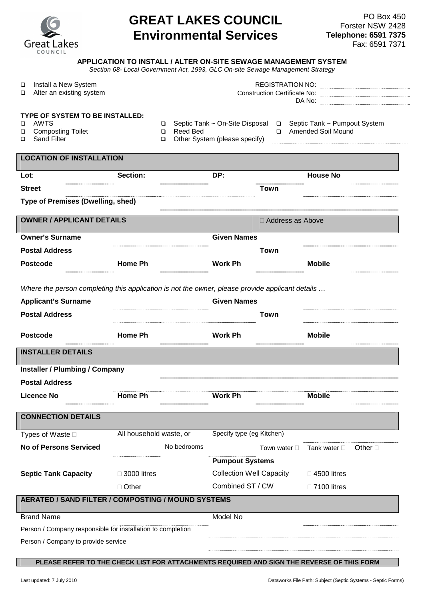| <b>Great Lakes</b><br>COUNCIL |
|-------------------------------|

## **GREAT LAKES COUNCIL Environmental Services**

## **APPLICATION TO INSTALL / ALTER ON-SITE SEWAGE MANAGEMENT SYSTEM**

Section 68- Local Government Act, 1993, GLC On-site Sewage Management Strategy

| Install a New System<br>$\Box$                                                                  |                         | <b>REGISTRATION NO:</b>        |                                 |             |                              |       |
|-------------------------------------------------------------------------------------------------|-------------------------|--------------------------------|---------------------------------|-------------|------------------------------|-------|
| Alter an existing system<br>□                                                                   |                         |                                |                                 |             | Construction Certificate No: |       |
|                                                                                                 |                         |                                |                                 |             |                              |       |
| TYPE OF SYSTEM TO BE INSTALLED:                                                                 |                         |                                |                                 |             |                              |       |
| <b>AWTS</b><br>□                                                                                |                         | □                              | Septic Tank ~ On-Site Disposal  | $\Box$      | Septic Tank ~ Pumpout System |       |
| <b>Composting Toilet</b><br>□<br><b>Sand Filter</b><br>□                                        |                         | <b>Reed Bed</b><br>$\Box$<br>□ | Other System (please specify)   | $\Box$      | <b>Amended Soil Mound</b>    |       |
|                                                                                                 |                         |                                |                                 |             |                              |       |
| <b>LOCATION OF INSTALLATION</b>                                                                 |                         |                                |                                 |             |                              |       |
|                                                                                                 |                         |                                |                                 |             |                              |       |
| Lot:                                                                                            | Section:                |                                | DP:                             |             | <b>House No</b>              |       |
| <b>Street</b>                                                                                   |                         |                                |                                 | <b>Town</b> |                              |       |
| Type of Premises (Dwelling, shed)                                                               |                         |                                |                                 |             |                              |       |
| <b>OWNER / APPLICANT DETAILS</b>                                                                |                         |                                |                                 |             | Address as Above             |       |
|                                                                                                 |                         |                                |                                 |             |                              |       |
| <b>Owner's Surname</b>                                                                          |                         |                                | <b>Given Names</b>              |             |                              |       |
| <b>Postal Address</b>                                                                           |                         |                                |                                 | <b>Town</b> |                              |       |
| <b>Postcode</b>                                                                                 | Home Ph                 |                                | <b>Work Ph</b>                  |             | <b>Mobile</b>                |       |
|                                                                                                 |                         |                                |                                 |             |                              |       |
| Where the person completing this application is not the owner, please provide applicant details |                         |                                |                                 |             |                              |       |
| <b>Applicant's Surname</b>                                                                      |                         |                                | <b>Given Names</b>              |             |                              |       |
| <b>Postal Address</b>                                                                           |                         |                                |                                 | Town        |                              |       |
|                                                                                                 |                         |                                |                                 |             |                              |       |
| <b>Postcode</b>                                                                                 | <b>Home Ph</b>          |                                | <b>Work Ph</b>                  |             | <b>Mobile</b>                |       |
|                                                                                                 |                         |                                |                                 |             |                              |       |
| <b>INSTALLER DETAILS</b>                                                                        |                         |                                |                                 |             |                              |       |
| <b>Installer / Plumbing / Company</b>                                                           |                         |                                |                                 |             |                              |       |
| <b>Postal Address</b>                                                                           |                         |                                |                                 |             |                              |       |
| <b>Licence No</b>                                                                               | <b>Home Ph</b>          |                                | <b>Work Ph</b>                  |             | <b>Mobile</b>                |       |
|                                                                                                 |                         |                                |                                 |             |                              |       |
| <b>CONNECTION DETAILS</b>                                                                       |                         |                                |                                 |             |                              |       |
| Types of Waste                                                                                  | All household waste, or |                                | Specify type (eg Kitchen)       |             |                              |       |
| <b>No of Persons Serviced</b>                                                                   |                         | No bedrooms                    |                                 | Town water  | Tank water                   | Other |
|                                                                                                 |                         |                                |                                 |             |                              |       |
|                                                                                                 |                         |                                | <b>Pumpout Systems</b>          |             |                              |       |
| <b>Septic Tank Capacity</b>                                                                     | 3000 litres             |                                | <b>Collection Well Capacity</b> |             | 4500 litres                  |       |
|                                                                                                 | Other                   |                                | Combined ST / CW                |             | 7100 litres                  |       |
| AERATED / SAND FILTER / COMPOSTING / MOUND SYSTEMS                                              |                         |                                |                                 |             |                              |       |
| <b>Brand Name</b>                                                                               |                         |                                | Model No                        |             |                              |       |
| Person / Company responsible for installation to completion                                     |                         |                                |                                 |             |                              |       |
| Person / Company to provide service                                                             |                         |                                |                                 |             |                              |       |
|                                                                                                 |                         |                                |                                 |             |                              |       |

**PLEASE REFER TO THE CHECK LIST FOR ATTACHMENTS REQUIRED AND SIGN THE REVERSE OF THIS FORM**